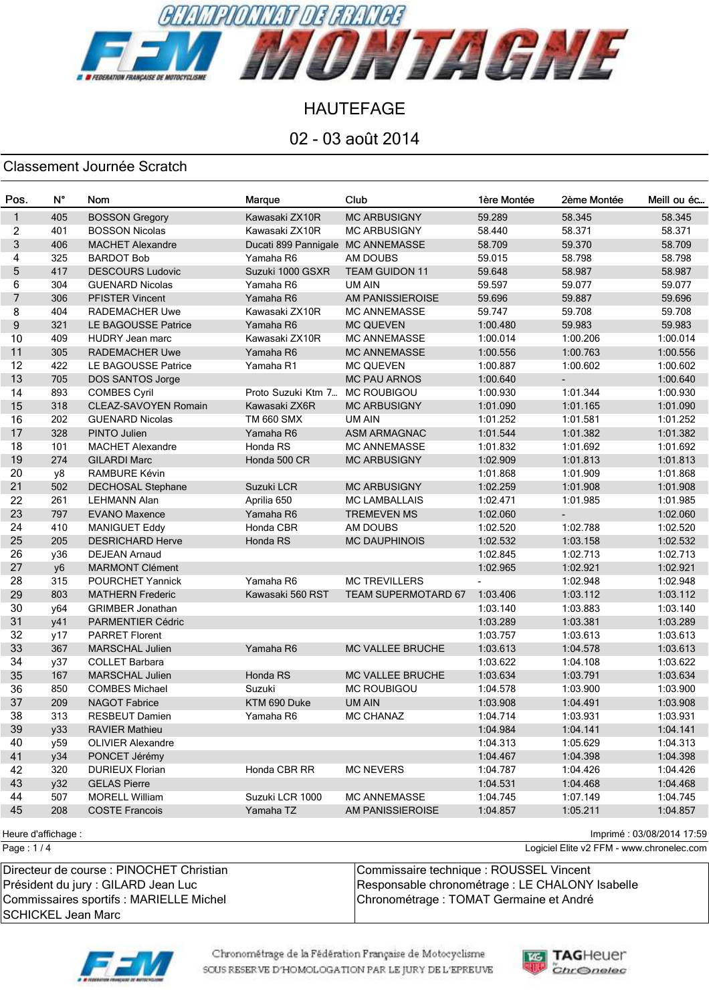

02 - 03 août 2014

### Classement Journée Scratch

| Pos.         | $N^{\circ}$ | Nom                         | Marque                            | Club                       | 1ère Montée | 2ème Montée | Meill ou éc |
|--------------|-------------|-----------------------------|-----------------------------------|----------------------------|-------------|-------------|-------------|
| $\mathbf{1}$ | 405         | <b>BOSSON Gregory</b>       | Kawasaki ZX10R                    | <b>MC ARBUSIGNY</b>        | 59.289      | 58.345      | 58.345      |
| 2            | 401         | <b>BOSSON Nicolas</b>       | Kawasaki ZX10R                    | <b>MC ARBUSIGNY</b>        | 58.440      | 58.371      | 58.371      |
| 3            | 406         | <b>MACHET Alexandre</b>     | Ducati 899 Pannigale MC ANNEMASSE |                            | 58.709      | 59.370      | 58.709      |
| 4            | 325         | <b>BARDOT Bob</b>           | Yamaha R6                         | AM DOUBS                   | 59.015      | 58.798      | 58.798      |
| 5            | 417         | <b>DESCOURS Ludovic</b>     | Suzuki 1000 GSXR                  | <b>TEAM GUIDON 11</b>      | 59.648      | 58.987      | 58.987      |
| 6            | 304         | <b>GUENARD Nicolas</b>      | Yamaha R6                         | UM AIN                     | 59.597      | 59.077      | 59.077      |
| 7            | 306         | <b>PFISTER Vincent</b>      | Yamaha R6                         | AM PANISSIEROISE           | 59.696      | 59.887      | 59.696      |
| 8            | 404         | RADEMACHER Uwe              | Kawasaki ZX10R                    | <b>MC ANNEMASSE</b>        | 59.747      | 59.708      | 59.708      |
| 9            | 321         | LE BAGOUSSE Patrice         | Yamaha R6                         | <b>MC QUEVEN</b>           | 1:00.480    | 59.983      | 59.983      |
| 10           | 409         | <b>HUDRY Jean marc</b>      | Kawasaki ZX10R                    | <b>MC ANNEMASSE</b>        | 1:00.014    | 1:00.206    | 1:00.014    |
| 11           | 305         | <b>RADEMACHER Uwe</b>       | Yamaha R6                         | <b>MC ANNEMASSE</b>        | 1:00.556    | 1:00.763    | 1:00.556    |
| 12           | 422         | LE BAGOUSSE Patrice         | Yamaha R1                         | <b>MC QUEVEN</b>           | 1:00.887    | 1:00.602    | 1:00.602    |
| 13           | 705         | DOS SANTOS Jorge            |                                   | <b>MC PAU ARNOS</b>        | 1:00.640    |             | 1:00.640    |
| 14           | 893         | <b>COMBES Cyril</b>         | Proto Suzuki Ktm 7                | <b>MC ROUBIGOU</b>         | 1:00.930    | 1:01.344    | 1:00.930    |
| 15           | 318         | <b>CLEAZ-SAVOYEN Romain</b> | Kawasaki ZX6R                     | <b>MC ARBUSIGNY</b>        | 1:01.090    | 1:01.165    | 1:01.090    |
| 16           | 202         | <b>GUENARD Nicolas</b>      | <b>TM 660 SMX</b>                 | UM AIN                     | 1:01.252    | 1:01.581    | 1:01.252    |
| 17           | 328         | PINTO Julien                | Yamaha R6                         | ASM ARMAGNAC               | 1:01.544    | 1:01.382    | 1:01.382    |
| 18           | 101         | <b>MACHET Alexandre</b>     | Honda RS                          | <b>MC ANNEMASSE</b>        | 1:01.832    | 1:01.692    | 1:01.692    |
| 19           | 274         | <b>GILARDI Marc</b>         | Honda 500 CR                      | <b>MC ARBUSIGNY</b>        | 1:02.909    | 1:01.813    | 1:01.813    |
| 20           | y8          | <b>RAMBURE Kévin</b>        |                                   |                            | 1:01.868    | 1:01.909    | 1:01.868    |
| 21           | 502         | DECHOSAL Stephane           | Suzuki LCR                        | <b>MC ARBUSIGNY</b>        | 1:02.259    | 1:01.908    | 1:01.908    |
| 22           | 261         | LEHMANN Alan                | Aprilia 650                       | <b>MC LAMBALLAIS</b>       | 1:02.471    | 1:01.985    | 1:01.985    |
| 23           | 797         | <b>EVANO Maxence</b>        | Yamaha R6                         | <b>TREMEVEN MS</b>         | 1:02.060    |             | 1:02.060    |
| 24           | 410         | <b>MANIGUET Eddy</b>        | Honda CBR                         | AM DOUBS                   | 1:02.520    | 1:02.788    | 1:02.520    |
| 25           | 205         | <b>DESRICHARD Herve</b>     | Honda RS                          | <b>MC DAUPHINOIS</b>       | 1:02.532    | 1:03.158    | 1:02.532    |
| 26           | y36         | <b>DEJEAN Arnaud</b>        |                                   |                            | 1:02.845    | 1:02.713    | 1:02.713    |
| 27           | y6          | <b>MARMONT Clément</b>      |                                   |                            | 1:02.965    | 1:02.921    | 1:02.921    |
| 28           | 315         | <b>POURCHET Yannick</b>     | Yamaha R6                         | <b>MC TREVILLERS</b>       |             | 1:02.948    | 1:02.948    |
| 29           | 803         | <b>MATHERN Frederic</b>     | Kawasaki 560 RST                  | <b>TEAM SUPERMOTARD 67</b> | 1:03.406    | 1:03.112    | 1:03.112    |
| 30           | y64         | <b>GRIMBER Jonathan</b>     |                                   |                            | 1:03.140    | 1:03.883    | 1:03.140    |
| 31           | y41         | <b>PARMENTIER Cédric</b>    |                                   |                            | 1:03.289    | 1:03.381    | 1:03.289    |
| 32           | y17         | <b>PARRET Florent</b>       |                                   |                            | 1:03.757    | 1:03.613    | 1:03.613    |
| 33           | 367         | MARSCHAL Julien             | Yamaha R6                         | MC VALLEE BRUCHE           | 1:03.613    | 1:04.578    | 1:03.613    |
| 34           | y37         | <b>COLLET Barbara</b>       |                                   |                            | 1:03.622    | 1:04.108    | 1:03.622    |
| 35           | 167         | <b>MARSCHAL Julien</b>      | Honda RS                          | <b>MC VALLEE BRUCHE</b>    | 1:03.634    | 1:03.791    | 1:03.634    |
| 36           | 850         | <b>COMBES Michael</b>       | Suzuki                            | <b>MC ROUBIGOU</b>         | 1:04.578    | 1:03.900    | 1:03.900    |
| 37           | 209         | <b>NAGOT Fabrice</b>        | KTM 690 Duke                      | <b>UM AIN</b>              | 1:03.908    | 1:04.491    | 1:03.908    |
| 38           | 313         | <b>RESBEUT Damien</b>       | Yamaha R6                         | <b>MC CHANAZ</b>           | 1:04.714    | 1:03.931    | 1:03.931    |
| 39           | y33         | <b>RAVIER Mathieu</b>       |                                   |                            | 1:04.984    | 1:04.141    | 1:04.141    |
| 40           | y59         | <b>OLIVIER Alexandre</b>    |                                   |                            | 1:04.313    | 1:05.629    | 1:04.313    |
| 41           | y34         | PONCET Jérémy               |                                   |                            | 1:04.467    | 1:04.398    | 1:04.398    |
| 42           | 320         | <b>DURIEUX Florian</b>      | Honda CBR RR                      | <b>MC NEVERS</b>           | 1:04.787    | 1:04.426    | 1:04.426    |
| 43           | y32         | <b>GELAS Pierre</b>         |                                   |                            | 1:04.531    | 1:04.468    | 1:04.468    |
| 44           | 507         | <b>MORELL William</b>       | Suzuki LCR 1000                   | <b>MC ANNEMASSE</b>        | 1:04.745    | 1:07.149    | 1:04.745    |
| 45           | 208         | <b>COSTE Francois</b>       | Yamaha TZ                         | AM PANISSIEROISE           | 1:04.857    | 1:05.211    | 1:04.857    |
|              |             |                             |                                   |                            |             |             |             |

Heure d'affichage : Imprimé : 03/08/2014 17:59

Page : 1 / 4

Logiciel Elite v2 FFM - www.chronelec.com

| Directeur de course : PINOCHET Christian | Commissaire technique : ROUSSEL Vincent         |
|------------------------------------------|-------------------------------------------------|
| Président du jury : GILARD Jean Luc      | Responsable chronométrage : LE CHALONY Isabelle |
| Commissaires sportifs : MARIELLE Michel  | Chronométrage : TOMAT Germaine et André         |
| SCHICKEL Jean Marc                       |                                                 |



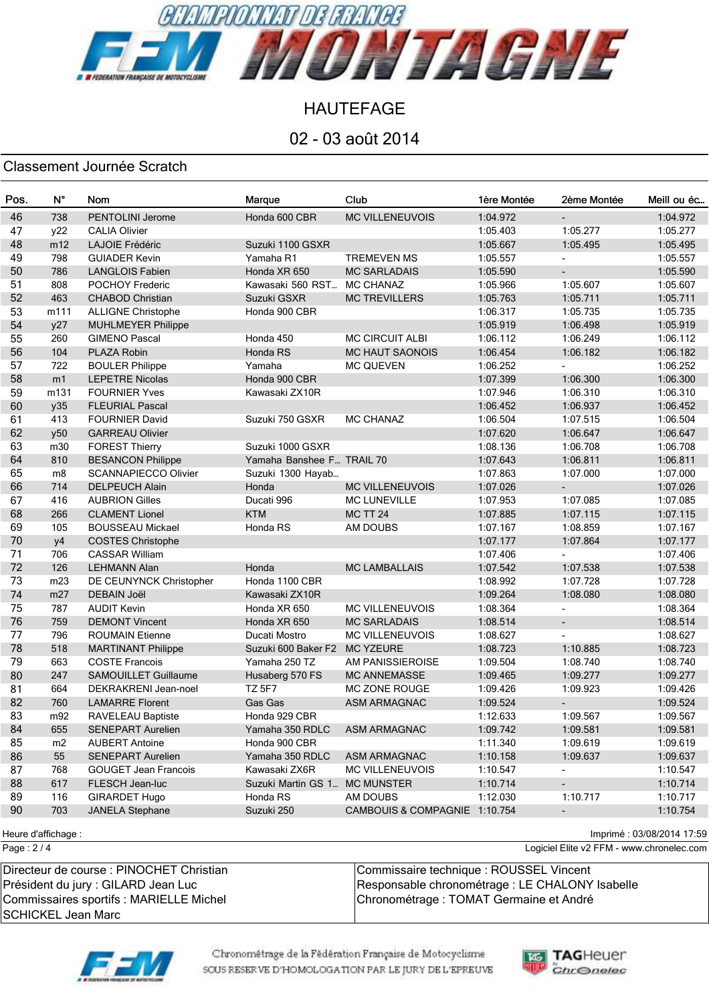

02 - 03 août 2014

### Classement Journée Scratch

| Pos.   | $N^{\circ}$    | Nom                         | Marque                        | Club                          | 1ère Montée | 2ème Montée              | Meill ou éc |
|--------|----------------|-----------------------------|-------------------------------|-------------------------------|-------------|--------------------------|-------------|
| 46     | 738            | PENTOLINI Jerome            | Honda 600 CBR                 | <b>MC VILLENEUVOIS</b>        | 1:04.972    | $\blacksquare$           | 1:04.972    |
| 47     | y22            | <b>CALIA Olivier</b>        |                               |                               | 1:05.403    | 1:05.277                 | 1:05.277    |
| 48     | m12            | LAJOIE Frédéric             | Suzuki 1100 GSXR              |                               | 1:05.667    | 1:05.495                 | 1:05.495    |
| 49     | 798            | <b>GUIADER Kevin</b>        | Yamaha R1                     | <b>TREMEVEN MS</b>            | 1:05.557    |                          | 1:05.557    |
| 50     | 786            | <b>LANGLOIS Fabien</b>      | Honda XR 650                  | <b>MC SARLADAIS</b>           | 1:05.590    |                          | 1:05.590    |
| 51     | 808            | POCHOY Frederic             | Kawasaki 560 RST              | <b>MC CHANAZ</b>              | 1:05.966    | 1:05.607                 | 1:05.607    |
| 52     | 463            | <b>CHABOD Christian</b>     | Suzuki GSXR                   | <b>MC TREVILLERS</b>          | 1:05.763    | 1:05.711                 | 1:05.711    |
| 53     | m111           | <b>ALLIGNE Christophe</b>   | Honda 900 CBR                 |                               | 1:06.317    | 1:05.735                 | 1:05.735    |
| 54     | y27            | <b>MUHLMEYER Philippe</b>   |                               |                               | 1:05.919    | 1:06.498                 | 1:05.919    |
| 55     | 260            | <b>GIMENO Pascal</b>        | Honda 450                     | <b>MC CIRCUIT ALBI</b>        | 1:06.112    | 1:06.249                 | 1:06.112    |
| 56     | 104            | PLAZA Robin                 | Honda RS                      | <b>MC HAUT SAONOIS</b>        | 1:06.454    | 1:06.182                 | 1:06.182    |
| 57     | 722            | <b>BOULER Philippe</b>      | Yamaha                        | <b>MC QUEVEN</b>              | 1:06.252    |                          | 1:06.252    |
| 58     | m1             | <b>LEPETRE Nicolas</b>      | Honda 900 CBR                 |                               | 1:07.399    | 1:06.300                 | 1:06.300    |
| 59     | m131           | <b>FOURNIER Yves</b>        | Kawasaki ZX10R                |                               | 1:07.946    | 1:06.310                 | 1:06.310    |
| 60     | y35            | <b>FLEURIAL Pascal</b>      |                               |                               | 1:06.452    | 1:06.937                 | 1:06.452    |
| 61     | 413            | <b>FOURNIER David</b>       | Suzuki 750 GSXR               | <b>MC CHANAZ</b>              | 1:06.504    | 1:07.515                 | 1:06.504    |
| 62     | y50            | <b>GARREAU Olivier</b>      |                               |                               | 1:07.620    | 1:06.647                 | 1:06.647    |
| 63     | m30            | <b>FOREST Thierry</b>       | Suzuki 1000 GSXR              |                               | 1:08.136    | 1:06.708                 | 1:06.708    |
| 64     | 810            | <b>BESANCON Philippe</b>    | Yamaha Banshee F TRAIL 70     |                               | 1:07.643    | 1:06.811                 | 1:06.811    |
| 65     | m <sub>8</sub> | <b>SCANNAPIECCO Olivier</b> | Suzuki 1300 Hayab             |                               | 1:07.863    | 1:07.000                 | 1:07.000    |
| 66     | 714            | <b>DELPEUCH Alain</b>       | Honda                         | <b>MC VILLENEUVOIS</b>        | 1:07.026    | $\overline{\phantom{a}}$ | 1:07.026    |
| 67     | 416            | <b>AUBRION Gilles</b>       | Ducati 996                    | <b>MC LUNEVILLE</b>           | 1:07.953    | 1:07.085                 | 1:07.085    |
| 68     | 266            | <b>CLAMENT Lionel</b>       | <b>KTM</b>                    | <b>MC TT 24</b>               | 1:07.885    | 1:07.115                 | 1:07.115    |
| 69     | 105            | <b>BOUSSEAU Mickael</b>     | Honda RS                      | AM DOUBS                      | 1:07.167    | 1:08.859                 | 1:07.167    |
| $70\,$ | y4             | <b>COSTES Christophe</b>    |                               |                               | 1:07.177    | 1:07.864                 | 1:07.177    |
| 71     | 706            | <b>CASSAR William</b>       |                               |                               | 1:07.406    |                          | 1:07.406    |
| 72     | 126            | <b>LEHMANN Alan</b>         | Honda                         | <b>MC LAMBALLAIS</b>          | 1:07.542    | 1:07.538                 | 1:07.538    |
| 73     | m23            | DE CEUNYNCK Christopher     | Honda 1100 CBR                |                               | 1:08.992    | 1:07.728                 | 1:07.728    |
| 74     | m27            | <b>DEBAIN Joël</b>          | Kawasaki ZX10R                |                               | 1:09.264    | 1:08.080                 | 1:08.080    |
| 75     | 787            | <b>AUDIT Kevin</b>          | Honda XR 650                  | <b>MC VILLENEUVOIS</b>        | 1:08.364    |                          | 1:08.364    |
| 76     | 759            | <b>DEMONT Vincent</b>       | Honda XR 650                  | <b>MC SARLADAIS</b>           | 1:08.514    | $\overline{\phantom{a}}$ | 1:08.514    |
| 77     | 796            | <b>ROUMAIN Etienne</b>      | Ducati Mostro                 | <b>MC VILLENEUVOIS</b>        | 1:08.627    |                          | 1:08.627    |
| 78     | 518            | <b>MARTINANT Philippe</b>   | Suzuki 600 Baker F2           | <b>MC YZEURE</b>              | 1:08.723    | 1:10.885                 | 1:08.723    |
| 79     | 663            | <b>COSTE Francois</b>       | Yamaha 250 TZ                 | AM PANISSIEROISE              | 1:09.504    | 1:08.740                 | 1:08.740    |
| 80     | 247            | SAMOUILLET Guillaume        | Husaberg 570 FS               | <b>MC ANNEMASSE</b>           | 1:09.465    | 1:09.277                 | 1:09.277    |
| 81     | 664            | <b>DEKRAKRENI Jean-noel</b> | <b>TZ 5F7</b>                 | <b>MC ZONE ROUGE</b>          | 1:09.426    | 1:09.923                 | 1:09.426    |
| 82     | 760            | <b>LAMARRE Florent</b>      | Gas Gas                       | ASM ARMAGNAC                  | 1:09.524    | $\overline{\phantom{a}}$ | 1:09.524    |
| 83     | m92            | RAVELEAU Baptiste           | Honda 929 CBR                 |                               | 1:12.633    | 1:09.567                 | 1:09.567    |
| 84     | 655            | <b>SENEPART Aurelien</b>    | Yamaha 350 RDLC               | ASM ARMAGNAC                  | 1:09.742    | 1:09.581                 | 1:09.581    |
| 85     | m2             | <b>AUBERT Antoine</b>       | Honda 900 CBR                 |                               | 1:11.340    | 1:09.619                 | 1:09.619    |
| 86     | 55             | SENEPART Aurelien           | Yamaha 350 RDLC               | ASM ARMAGNAC                  | 1:10.158    | 1:09.637                 | 1:09.637    |
| 87     | 768            | <b>GOUGET Jean Francois</b> | Kawasaki ZX6R                 | <b>MC VILLENEUVOIS</b>        | 1:10.547    | $\overline{\phantom{a}}$ | 1:10.547    |
| 88     | 617            | FLESCH Jean-luc             | Suzuki Martin GS 1 MC MUNSTER |                               | 1:10.714    | $\overline{\phantom{a}}$ | 1:10.714    |
| 89     | 116            | <b>GIRARDET Hugo</b>        | Honda RS                      | AM DOUBS                      | 1:12.030    | 1:10.717                 | 1:10.717    |
| 90     | 703            | <b>JANELA Stephane</b>      | Suzuki 250                    | CAMBOUIS & COMPAGNIE 1:10.754 |             | $\overline{\phantom{a}}$ | 1:10.754    |

Page : 2 / 4

Heure d'affichage : Imprimé : 03/08/2014 17:59

Logiciel Elite v2 FFM - www.chronelec.com

| Directeur de course : PINOCHET Christian | Commissaire technique : ROUSSEL Vincent         |
|------------------------------------------|-------------------------------------------------|
| Président du jury : GILARD Jean Luc      | Responsable chronométrage : LE CHALONY Isabelle |
| Commissaires sportifs : MARIELLE Michel  | Chronométrage : TOMAT Germaine et André         |
| ∥SCHICKEL Jean Marc                      |                                                 |



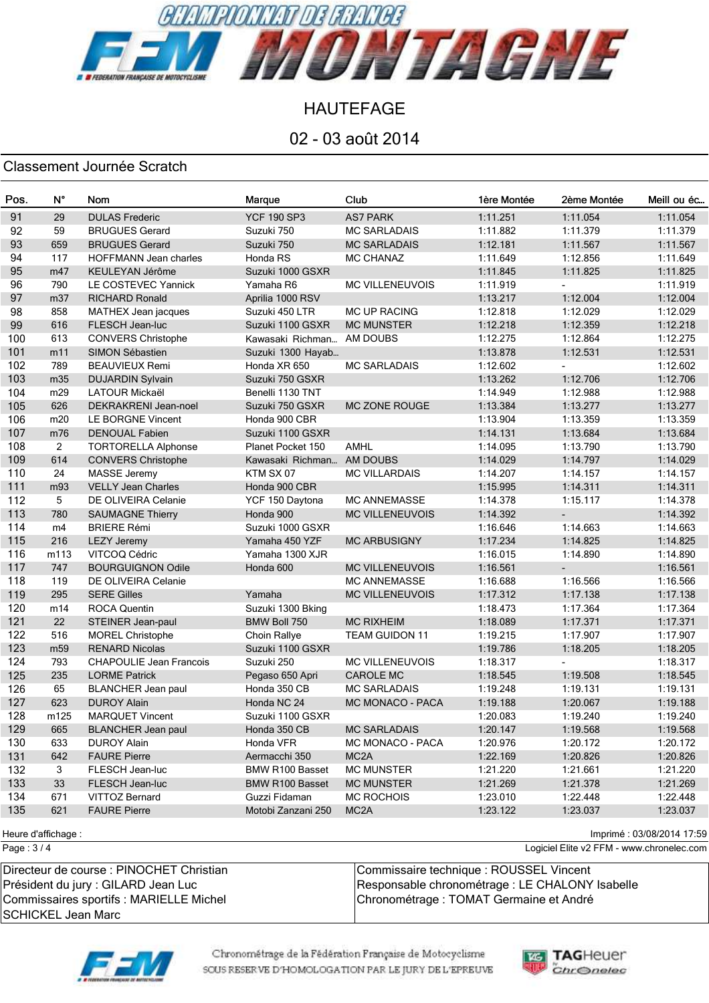

02 - 03 août 2014

### Classement Journée Scratch

| Pos. | $N^{\circ}$     | Nom                            | Marque                    | Club                   | 1ère Montée | 2ème Montée              | Meill ou éc |
|------|-----------------|--------------------------------|---------------------------|------------------------|-------------|--------------------------|-------------|
| 91   | 29              | <b>DULAS Frederic</b>          | <b>YCF 190 SP3</b>        | <b>AS7 PARK</b>        | 1:11.251    | 1:11.054                 | 1:11.054    |
| 92   | 59              | <b>BRUGUES Gerard</b>          | Suzuki 750                | <b>MC SARLADAIS</b>    | 1:11.882    | 1:11.379                 | 1:11.379    |
| 93   | 659             | <b>BRUGUES Gerard</b>          | Suzuki 750                | <b>MC SARLADAIS</b>    | 1:12.181    | 1:11.567                 | 1:11.567    |
| 94   | 117             | <b>HOFFMANN Jean charles</b>   | Honda RS                  | MC CHANAZ              | 1:11.649    | 1:12.856                 | 1:11.649    |
| 95   | m47             | KEULEYAN Jérôme                | Suzuki 1000 GSXR          |                        | 1:11.845    | 1:11.825                 | 1:11.825    |
| 96   | 790             | LE COSTEVEC Yannick            | Yamaha R6                 | <b>MC VILLENEUVOIS</b> | 1:11.919    |                          | 1:11.919    |
| 97   | m37             | <b>RICHARD Ronald</b>          | Aprilia 1000 RSV          |                        | 1:13.217    | 1:12.004                 | 1:12.004    |
| 98   | 858             | MATHEX Jean jacques            | Suzuki 450 LTR            | MC UP RACING           | 1:12.818    | 1:12.029                 | 1:12.029    |
| 99   | 616             | FLESCH Jean-luc                | Suzuki 1100 GSXR          | <b>MC MUNSTER</b>      | 1:12.218    | 1:12.359                 | 1:12.218    |
| 100  | 613             | <b>CONVERS Christophe</b>      | Kawasaki Richman AM DOUBS |                        | 1:12.275    | 1:12.864                 | 1:12.275    |
| 101  | m11             | SIMON Sébastien                | Suzuki 1300 Hayab         |                        | 1:13.878    | 1:12.531                 | 1:12.531    |
| 102  | 789             | <b>BEAUVIEUX Remi</b>          | Honda XR 650              | <b>MC SARLADAIS</b>    | 1:12.602    |                          | 1:12.602    |
| 103  | m35             | <b>DUJARDIN Sylvain</b>        | Suzuki 750 GSXR           |                        | 1:13.262    | 1:12.706                 | 1:12.706    |
| 104  | m29             | <b>LATOUR Mickaël</b>          | Benelli 1130 TNT          |                        | 1:14.949    | 1:12.988                 | 1:12.988    |
| 105  | 626             | DEKRAKRENI Jean-noel           | Suzuki 750 GSXR           | <b>MC ZONE ROUGE</b>   | 1:13.384    | 1:13.277                 | 1:13.277    |
| 106  | m20             | LE BORGNE Vincent              | Honda 900 CBR             |                        | 1:13.904    | 1:13.359                 | 1:13.359    |
| 107  | m76             | <b>DENOUAL Fabien</b>          | Suzuki 1100 GSXR          |                        | 1:14.131    | 1:13.684                 | 1:13.684    |
| 108  | $\overline{2}$  | <b>TORTORELLA Alphonse</b>     | Planet Pocket 150         | <b>AMHL</b>            | 1:14.095    | 1:13.790                 | 1:13.790    |
| 109  | 614             | <b>CONVERS Christophe</b>      | Kawasaki Richman AM DOUBS |                        | 1:14.029    | 1:14.797                 | 1:14.029    |
| 110  | 24              | <b>MASSE Jeremy</b>            | KTM SX 07                 | <b>MC VILLARDAIS</b>   | 1:14.207    | 1:14.157                 | 1:14.157    |
| 111  | m93             | <b>VELLY Jean Charles</b>      | Honda 900 CBR             |                        | 1:15.995    | 1:14.311                 | 1:14.311    |
| 112  | 5               | DE OLIVEIRA Celanie            | YCF 150 Daytona           | <b>MC ANNEMASSE</b>    | 1:14.378    | 1:15.117                 | 1:14.378    |
| 113  | 780             | <b>SAUMAGNE Thierry</b>        | Honda 900                 | <b>MC VILLENEUVOIS</b> | 1:14.392    |                          | 1:14.392    |
| 114  | m4              | <b>BRIERE Rémi</b>             | Suzuki 1000 GSXR          |                        | 1:16.646    | 1:14.663                 | 1:14.663    |
| 115  | 216             | <b>LEZY Jeremy</b>             | Yamaha 450 YZF            | <b>MC ARBUSIGNY</b>    | 1:17.234    | 1:14.825                 | 1:14.825    |
| 116  | m113            | VITCOQ Cédric                  | Yamaha 1300 XJR           |                        | 1:16.015    | 1:14.890                 | 1:14.890    |
| 117  | 747             | <b>BOURGUIGNON Odile</b>       | Honda 600                 | <b>MC VILLENEUVOIS</b> | 1:16.561    | $\overline{\phantom{a}}$ | 1:16.561    |
| 118  | 119             | DE OLIVEIRA Celanie            |                           | <b>MC ANNEMASSE</b>    | 1:16.688    | 1:16.566                 | 1:16.566    |
| 119  | 295             | <b>SERE Gilles</b>             | Yamaha                    | <b>MC VILLENEUVOIS</b> | 1:17.312    | 1:17.138                 | 1:17.138    |
| 120  | m14             | <b>ROCA Quentin</b>            | Suzuki 1300 Bking         |                        | 1:18.473    | 1:17.364                 | 1:17.364    |
| 121  | 22              | STEINER Jean-paul              | BMW Boll 750              | <b>MC RIXHEIM</b>      | 1:18.089    | 1:17.371                 | 1:17.371    |
| 122  | 516             | <b>MOREL Christophe</b>        | Choin Rallye              | <b>TEAM GUIDON 11</b>  | 1:19.215    | 1:17.907                 | 1:17.907    |
| 123  | m <sub>59</sub> | <b>RENARD Nicolas</b>          | Suzuki 1100 GSXR          |                        | 1:19.786    | 1:18.205                 | 1:18.205    |
| 124  | 793             | <b>CHAPOULIE Jean Francois</b> | Suzuki 250                | <b>MC VILLENEUVOIS</b> | 1:18.317    | $\blacksquare$           | 1:18.317    |
| 125  | 235             | <b>LORME Patrick</b>           | Pegaso 650 Apri           | <b>CAROLE MC</b>       | 1:18.545    | 1:19.508                 | 1:18.545    |
| 126  | 65              | <b>BLANCHER Jean paul</b>      | Honda 350 CB              | <b>MC SARLADAIS</b>    | 1:19.248    | 1:19.131                 | 1:19.131    |
| 127  | 623             | <b>DUROY Alain</b>             | Honda NC 24               | MC MONACO - PACA       | 1:19.188    | 1:20.067                 | 1:19.188    |
| 128  | m125            | <b>MARQUET Vincent</b>         | Suzuki 1100 GSXR          |                        | 1:20.083    | 1:19.240                 | 1:19.240    |
| 129  | 665             | <b>BLANCHER Jean paul</b>      | Honda 350 CB              | <b>MC SARLADAIS</b>    | 1:20.147    | 1:19.568                 | 1:19.568    |
| 130  | 633             | <b>DUROY Alain</b>             | Honda VFR                 | MC MONACO - PACA       | 1:20.976    | 1:20.172                 | 1:20.172    |
| 131  | 642             | <b>FAURE Pierre</b>            | Aermacchi 350             | MC <sub>2</sub> A      | 1:22.169    | 1:20.826                 | 1:20.826    |
| 132  | 3               | FLESCH Jean-luc                | BMW R100 Basset           | <b>MC MUNSTER</b>      | 1:21.220    | 1:21.661                 | 1:21.220    |
| 133  | 33              | FLESCH Jean-luc                | <b>BMW R100 Basset</b>    | <b>MC MUNSTER</b>      | 1:21.269    | 1:21.378                 | 1:21.269    |
| 134  | 671             | VITTOZ Bernard                 | Guzzi Fidaman             | <b>MC ROCHOIS</b>      | 1:23.010    | 1:22.448                 | 1:22.448    |
| 135  | 621             | <b>FAURE Pierre</b>            | Motobi Zanzani 250        | MC <sub>2</sub> A      | 1:23.122    | 1:23.037                 | 1:23.037    |
|      |                 |                                |                           |                        |             |                          |             |

Page : 3 / 4

Heure d'affichage : Imprimé : 03/08/2014 17:59

Logiciel Elite v2 FFM - www.chronelec.com

| Directeur de course : PINOCHET Christian | Commissaire technique : ROUSSEL Vincent         |
|------------------------------------------|-------------------------------------------------|
| Président du jury : GILARD Jean Luc      | Responsable chronométrage : LE CHALONY Isabelle |
| Commissaires sportifs : MARIELLE Michel  | Chronométrage : TOMAT Germaine et André         |
| ISCHICKEL Jean Marc                      |                                                 |